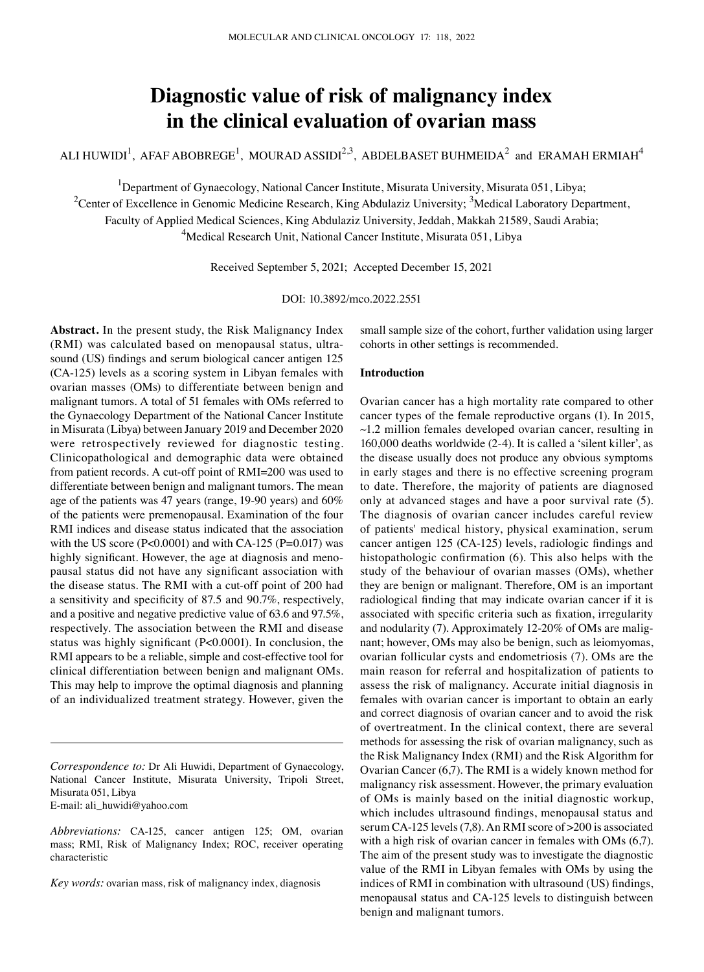# **Diagnostic value of risk of malignancy index in the clinical evaluation of ovarian mass**

ALI HUWIDI $^1$ , AFAF ABOBREGE $^1$ , MOURAD ASSIDI $^{2,3}$ , ABDELBASET BUHMEIDA $^2$  and ERAMAH ERMIAH $^4$ 

<sup>1</sup>Department of Gynaecology, National Cancer Institute, Misurata University, Misurata 051, Libya;

<sup>2</sup>Center of Excellence in Genomic Medicine Research, King Abdulaziz University; <sup>3</sup>Medical Laboratory Department,

Faculty of Applied Medical Sciences, King Abdulaziz University, Jeddah, Makkah 21589, Saudi Arabia;

<sup>4</sup>Medical Research Unit, National Cancer Institute, Misurata 051, Libya

Received September 5, 2021; Accepted December 15, 2021

DOI: 10.3892/mco.2022.2551

**Abstract.** In the present study, the Risk Malignancy Index (RMI) was calculated based on menopausal status, ultrasound (US) findings and serum biological cancer antigen 125 (CA‑125) levels as a scoring system in Libyan females with ovarian masses (OMs) to differentiate between benign and malignant tumors. A total of 51 females with OMs referred to the Gynaecology Department of the National Cancer Institute in Misurata (Libya) between January 2019 and December 2020 were retrospectively reviewed for diagnostic testing. Clinicopathological and demographic data were obtained from patient records. A cut-off point of RMI=200 was used to differentiate between benign and malignant tumors. The mean age of the patients was 47 years (range, 19‑90 years) and 60% of the patients were premenopausal. Examination of the four RMI indices and disease status indicated that the association with the US score ( $P<0.0001$ ) and with CA-125 ( $P=0.017$ ) was highly significant. However, the age at diagnosis and menopausal status did not have any significant association with the disease status. The RMI with a cut-off point of 200 had a sensitivity and specificity of 87.5 and 90.7%, respectively, and a positive and negative predictive value of 63.6 and 97.5%, respectively. The association between the RMI and disease status was highly significant (P<0.0001). In conclusion, the RMI appears to be a reliable, simple and cost-effective tool for clinical differentiation between benign and malignant OMs. This may help to improve the optimal diagnosis and planning of an individualized treatment strategy. However, given the

small sample size of the cohort, further validation using larger cohorts in other settings is recommended.

# **Introduction**

Ovarian cancer has a high mortality rate compared to other cancer types of the female reproductive organs (1). In 2015, ~1.2 million females developed ovarian cancer, resulting in 160,000 deaths worldwide (2‑4). It is called a 'silent killer', as the disease usually does not produce any obvious symptoms in early stages and there is no effective screening program to date. Therefore, the majority of patients are diagnosed only at advanced stages and have a poor survival rate (5). The diagnosis of ovarian cancer includes careful review of patients' medical history, physical examination, serum cancer antigen 125 (CA‑125) levels, radiologic findings and histopathologic confirmation (6). This also helps with the study of the behaviour of ovarian masses (OMs), whether they are benign or malignant. Therefore, OM is an important radiological finding that may indicate ovarian cancer if it is associated with specific criteria such as fixation, irregularity and nodularity (7). Approximately 12-20% of OMs are malignant; however, OMs may also be benign, such as leiomyomas, ovarian follicular cysts and endometriosis (7). OMs are the main reason for referral and hospitalization of patients to assess the risk of malignancy. Accurate initial diagnosis in females with ovarian cancer is important to obtain an early and correct diagnosis of ovarian cancer and to avoid the risk of overtreatment. In the clinical context, there are several methods for assessing the risk of ovarian malignancy, such as the Risk Malignancy Index (RMI) and the Risk Algorithm for Ovarian Cancer (6,7). The RMI is a widely known method for malignancy risk assessment. However, the primary evaluation of OMs is mainly based on the initial diagnostic workup, which includes ultrasound findings, menopausal status and serum CA-125 levels (7,8). An RMI score of >200 is associated with a high risk of ovarian cancer in females with OMs (6,7). The aim of the present study was to investigate the diagnostic value of the RMI in Libyan females with OMs by using the indices of RMI in combination with ultrasound (US) findings, menopausal status and CA-125 levels to distinguish between benign and malignant tumors.

*Correspondence to:* Dr Ali Huwidi, Department of Gynaecology, National Cancer Institute, Misurata University, Tripoli Street, Misurata 051, Libya E‑mail: ali\_huwidi@yahoo.com

*Abbreviations:* CA‑125, cancer antigen 125; OM, ovarian mass; RMI, Risk of Malignancy Index; ROC, receiver operating characteristic

*Key words:* ovarian mass, risk of malignancy index, diagnosis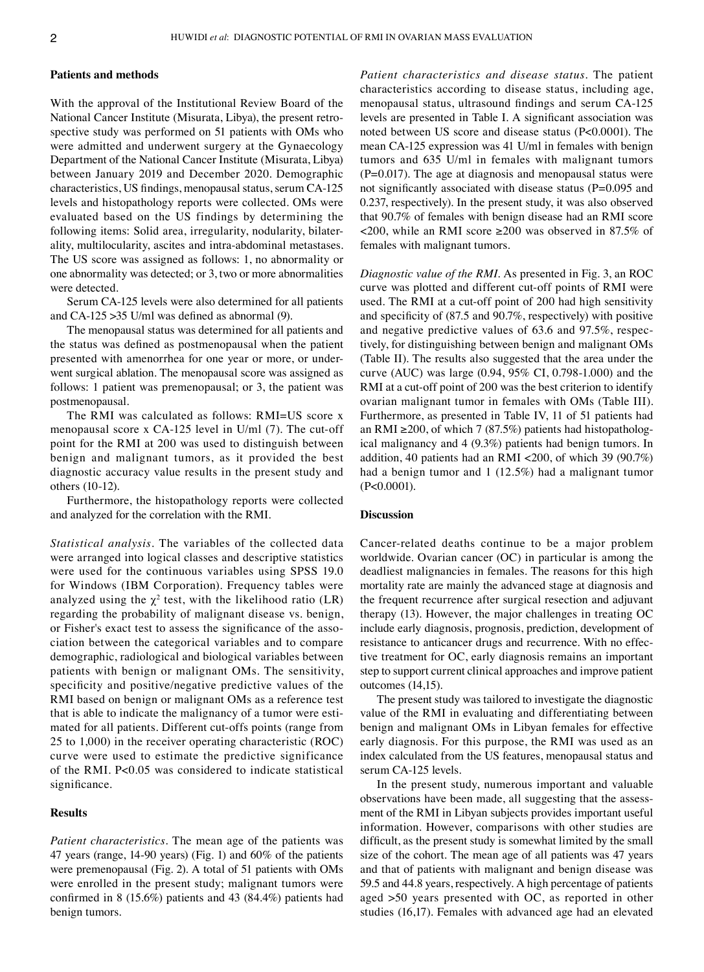## **Patients and methods**

With the approval of the Institutional Review Board of the National Cancer Institute (Misurata, Libya), the present retrospective study was performed on 51 patients with OMs who were admitted and underwent surgery at the Gynaecology Department of the National Cancer Institute (Misurata, Libya) between January 2019 and December 2020. Demographic characteristics, US findings, menopausal status, serum CA‑125 levels and histopathology reports were collected. OMs were evaluated based on the US findings by determining the following items: Solid area, irregularity, nodularity, bilaterality, multilocularity, ascites and intra‑abdominal metastases. The US score was assigned as follows: 1, no abnormality or one abnormality was detected; or 3, two or more abnormalities were detected.

Serum CA-125 levels were also determined for all patients and CA-125  $\geq$ 35 U/ml was defined as abnormal (9).

The menopausal status was determined for all patients and the status was defined as postmenopausal when the patient presented with amenorrhea for one year or more, or underwent surgical ablation. The menopausal score was assigned as follows: 1 patient was premenopausal; or 3, the patient was postmenopausal.

The RMI was calculated as follows: RMI=US score x menopausal score x  $CA-125$  level in U/ml  $(7)$ . The cut-off point for the RMI at 200 was used to distinguish between benign and malignant tumors, as it provided the best diagnostic accuracy value results in the present study and others (10‑12).

Furthermore, the histopathology reports were collected and analyzed for the correlation with the RMI.

*Statistical analysis.* The variables of the collected data were arranged into logical classes and descriptive statistics were used for the continuous variables using SPSS 19.0 for Windows (IBM Corporation). Frequency tables were analyzed using the  $\chi^2$  test, with the likelihood ratio (LR) regarding the probability of malignant disease vs. benign, or Fisher's exact test to assess the significance of the association between the categorical variables and to compare demographic, radiological and biological variables between patients with benign or malignant OMs. The sensitivity, specificity and positive/negative predictive values of the RMI based on benign or malignant OMs as a reference test that is able to indicate the malignancy of a tumor were estimated for all patients. Different cut-offs points (range from 25 to 1,000) in the receiver operating characteristic (ROC) curve were used to estimate the predictive significance of the RMI. P<0.05 was considered to indicate statistical significance.

# **Results**

*Patient characteristics.* The mean age of the patients was 47 years (range, 14‑90 years) (Fig. 1) and 60% of the patients were premenopausal (Fig. 2). A total of 51 patients with OMs were enrolled in the present study; malignant tumors were confirmed in 8 (15.6%) patients and 43 (84.4%) patients had benign tumors.

*Patient characteristics and disease status.* The patient characteristics according to disease status, including age, menopausal status, ultrasound findings and serum CA-125 levels are presented in Table I. A significant association was noted between US score and disease status (P<0.0001). The mean CA-125 expression was 41 U/ml in females with benign tumors and 635 U/ml in females with malignant tumors  $(P=0.017)$ . The age at diagnosis and menopausal status were not significantly associated with disease status (P=0.095 and 0.237, respectively). In the present study, it was also observed that 90.7% of females with benign disease had an RMI score  $\langle 200, \text{while an RMI score } \geq 200 \text{ was observed in } 87.5\% \text{ of }$ females with malignant tumors.

*Diagnostic value of the RMI.* As presented in Fig. 3, an ROC curve was plotted and different cut‑off points of RMI were used. The RMI at a cut-off point of 200 had high sensitivity and specificity of (87.5 and 90.7%, respectively) with positive and negative predictive values of 63.6 and 97.5%, respectively, for distinguishing between benign and malignant OMs (Table II). The results also suggested that the area under the curve (AUC) was large (0.94, 95% CI, 0.798‑1.000) and the RMI at a cut-off point of 200 was the best criterion to identify ovarian malignant tumor in females with OMs (Table III). Furthermore, as presented in Table IV, 11 of 51 patients had an RMI ≥200, of which 7 (87.5%) patients had histopathological malignancy and 4 (9.3%) patients had benign tumors. In addition, 40 patients had an RMI <200, of which 39 (90.7%) had a benign tumor and 1 (12.5%) had a malignant tumor (P<0.0001).

## **Discussion**

Cancer‑related deaths continue to be a major problem worldwide. Ovarian cancer (OC) in particular is among the deadliest malignancies in females. The reasons for this high mortality rate are mainly the advanced stage at diagnosis and the frequent recurrence after surgical resection and adjuvant therapy (13). However, the major challenges in treating OC include early diagnosis, prognosis, prediction, development of resistance to anticancer drugs and recurrence. With no effective treatment for OC, early diagnosis remains an important step to support current clinical approaches and improve patient outcomes (14,15).

The present study was tailored to investigate the diagnostic value of the RMI in evaluating and differentiating between benign and malignant OMs in Libyan females for effective early diagnosis. For this purpose, the RMI was used as an index calculated from the US features, menopausal status and serum CA-125 levels.

In the present study, numerous important and valuable observations have been made, all suggesting that the assessment of the RMI in Libyan subjects provides important useful information. However, comparisons with other studies are difficult, as the present study is somewhat limited by the small size of the cohort. The mean age of all patients was 47 years and that of patients with malignant and benign disease was 59.5 and 44.8 years, respectively. A high percentage of patients aged >50 years presented with OC, as reported in other studies (16,17). Females with advanced age had an elevated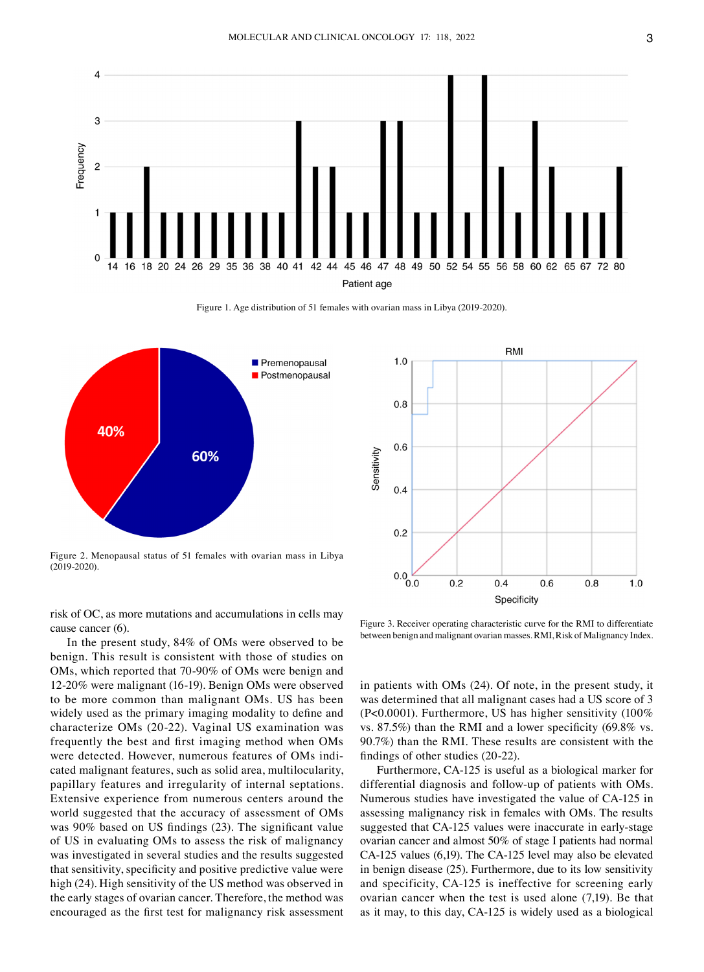

Figure 1. Age distribution of 51 females with ovarian mass in Libya (2019-2020).



Figure 2. Menopausal status of 51 females with ovarian mass in Libya (2019‑2020).

risk of OC, as more mutations and accumulations in cells may cause cancer (6).

In the present study, 84% of OMs were observed to be benign. This result is consistent with those of studies on OMs, which reported that 70‑90% of OMs were benign and 12‑20% were malignant (16‑19). Benign OMs were observed to be more common than malignant OMs. US has been widely used as the primary imaging modality to define and characterize OMs (20‑22). Vaginal US examination was frequently the best and first imaging method when OMs were detected. However, numerous features of OMs indicated malignant features, such as solid area, multilocularity, papillary features and irregularity of internal septations. Extensive experience from numerous centers around the world suggested that the accuracy of assessment of OMs was 90% based on US findings (23). The significant value of US in evaluating OMs to assess the risk of malignancy was investigated in several studies and the results suggested that sensitivity, specificity and positive predictive value were high (24). High sensitivity of the US method was observed in the early stages of ovarian cancer. Therefore, the method was encouraged as the first test for malignancy risk assessment



Figure 3. Receiver operating characteristic curve for the RMI to differentiate between benign and malignant ovarian masses. RMI, Risk of Malignancy Index.

in patients with OMs (24). Of note, in the present study, it was determined that all malignant cases had a US score of 3 (P<0.0001). Furthermore, US has higher sensitivity (100% vs. 87.5%) than the RMI and a lower specificity (69.8% vs. 90.7%) than the RMI. These results are consistent with the findings of other studies (20‑22).

Furthermore, CA-125 is useful as a biological marker for differential diagnosis and follow‑up of patients with OMs. Numerous studies have investigated the value of CA‑125 in assessing malignancy risk in females with OMs. The results suggested that CA-125 values were inaccurate in early-stage ovarian cancer and almost 50% of stage I patients had normal CA‑125 values (6,19). The CA‑125 level may also be elevated in benign disease (25). Furthermore, due to its low sensitivity and specificity, CA-125 is ineffective for screening early ovarian cancer when the test is used alone (7,19). Be that as it may, to this day, CA‑125 is widely used as a biological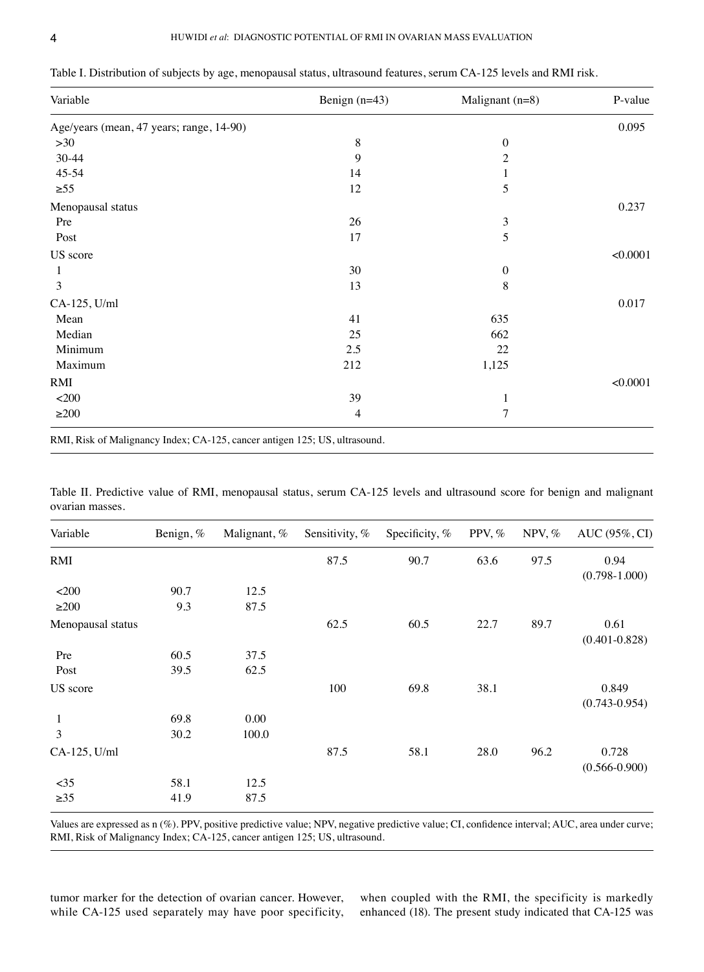| Variable                                                                   | Benign $(n=43)$ | Malignant $(n=8)$ | P-value  |
|----------------------------------------------------------------------------|-----------------|-------------------|----------|
| Age/years (mean, 47 years; range, 14-90)                                   |                 |                   | 0.095    |
| $>30$                                                                      | $\,8$           | $\boldsymbol{0}$  |          |
| 30-44                                                                      | 9               | $\overline{c}$    |          |
| 45-54                                                                      | 14              | 1                 |          |
| $\geq 55$                                                                  | 12              | 5                 |          |
| Menopausal status                                                          |                 |                   | 0.237    |
| Pre                                                                        | 26              | 3                 |          |
| Post                                                                       | 17              | 5                 |          |
| US score                                                                   |                 |                   | < 0.0001 |
| 1                                                                          | 30              | $\boldsymbol{0}$  |          |
| 3                                                                          | 13              | 8                 |          |
| CA-125, U/ml                                                               |                 |                   | 0.017    |
| Mean                                                                       | 41              | 635               |          |
| Median                                                                     | 25              | 662               |          |
| Minimum                                                                    | 2.5             | 22                |          |
| Maximum                                                                    | 212             | 1,125             |          |
| RMI                                                                        |                 |                   | < 0.0001 |
| $<$ 200                                                                    | 39              | 1                 |          |
| $\geq$ 200                                                                 | 4               | 7                 |          |
| RMI, Risk of Malignancy Index; CA-125, cancer antigen 125; US, ultrasound. |                 |                   |          |

Table I. Distribution of subjects by age, menopausal status, ultrasound features, serum CA-125 levels and RMI risk.

|                 |  | Table II. Predictive value of RMI, menopausal status, serum CA-125 levels and ultrasound score for benign and malignant |  |  |  |  |  |  |
|-----------------|--|-------------------------------------------------------------------------------------------------------------------------|--|--|--|--|--|--|
| ovarian masses. |  |                                                                                                                         |  |  |  |  |  |  |

| Variable          | Benign, % | Malignant, % | Sensitivity, % | Specificity, % | PPV, % | NPV, $%$ | AUC (95%, CI)              |
|-------------------|-----------|--------------|----------------|----------------|--------|----------|----------------------------|
| RMI               |           |              | 87.5           | 90.7           | 63.6   | 97.5     | 0.94<br>$(0.798 - 1.000)$  |
| $<$ 200           | 90.7      | 12.5         |                |                |        |          |                            |
| $\geq$ 200        | 9.3       | 87.5         |                |                |        |          |                            |
| Menopausal status |           |              | 62.5           | 60.5           | 22.7   | 89.7     | 0.61<br>$(0.401 - 0.828)$  |
| Pre               | 60.5      | 37.5         |                |                |        |          |                            |
| Post              | 39.5      | 62.5         |                |                |        |          |                            |
| US score          |           |              | 100            | 69.8           | 38.1   |          | 0.849<br>$(0.743 - 0.954)$ |
| 1                 | 69.8      | 0.00         |                |                |        |          |                            |
| 3                 | 30.2      | 100.0        |                |                |        |          |                            |
| CA-125, U/ml      |           |              | 87.5           | 58.1           | 28.0   | 96.2     | 0.728<br>$(0.566 - 0.900)$ |
| $<$ 35            | 58.1      | 12.5         |                |                |        |          |                            |
| $\geq 35$         | 41.9      | 87.5         |                |                |        |          |                            |
|                   |           |              |                |                |        |          |                            |

Values are expressed as n (%). PPV, positive predictive value; NPV, negative predictive value; CI, confidence interval; AUC, area under curve; RMI, Risk of Malignancy Index; CA‑125, cancer antigen 125; US, ultrasound.

tumor marker for the detection of ovarian cancer. However, while CA-125 used separately may have poor specificity, when coupled with the RMI, the specificity is markedly enhanced (18). The present study indicated that CA-125 was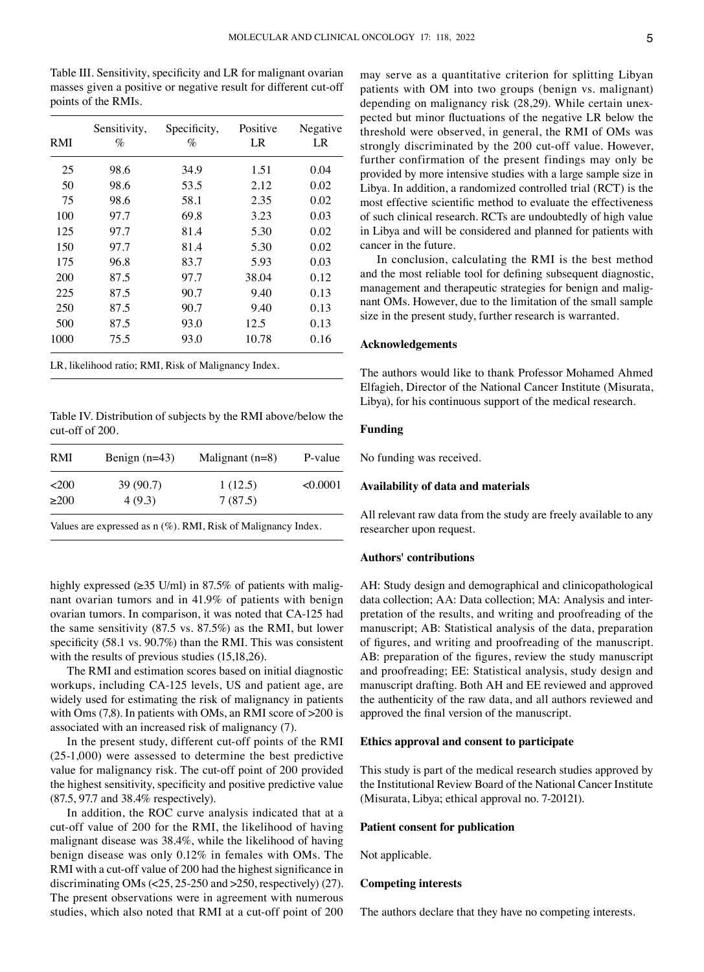Table III. Sensitivity, specificity and LR for malignant ovarian masses given a positive or negative result for different cut-off points of the RMIs.

| RMI  | Sensitivity,<br>% | Specificity,<br>% | Positive<br>LR | Negative<br>LR |
|------|-------------------|-------------------|----------------|----------------|
| 25   | 98.6              | 34.9              | 1.51           | 0.04           |
| 50   | 98.6              | 53.5              | 2.12           | 0.02           |
| 75   | 98.6              | 58.1              | 2.35           | 0.02           |
| 100  | 97.7              | 69.8              | 3.23           | 0.03           |
| 125  | 97.7              | 81.4              | 5.30           | 0.02           |
| 150  | 97.7              | 81.4              | 5.30           | 0.02           |
| 175  | 96.8              | 83.7              | 5.93           | 0.03           |
| 200  | 87.5              | 97.7              | 38.04          | 0.12           |
| 225  | 87.5              | 90.7              | 9.40           | 0.13           |
| 250  | 87.5              | 90.7              | 9.40           | 0.13           |
| 500  | 87.5              | 93.0              | 12.5           | 0.13           |
| 1000 | 75.5              | 93.0              | 10.78          | 0.16           |

LR, likelihood ratio; RMI, Risk of Malignancy Index.

Table IV. Distribution of subjects by the RMI above/below the cut‑off of 200.

| <b>RMI</b> | Benign $(n=43)$ | Malignant $(n=8)$ | P-value  |
|------------|-----------------|-------------------|----------|
| $200$      | 39(90.7)        | 1(12.5)           | < 0.0001 |
| >200       | 4(9.3)          | 7(87.5)           |          |
| -- -       |                 |                   |          |

Values are expressed as n (%). RMI, Risk of Malignancy Index.

highly expressed ( $\geq$ 35 U/ml) in 87.5% of patients with malignant ovarian tumors and in 41.9% of patients with benign ovarian tumors. In comparison, it was noted that CA‑125 had the same sensitivity (87.5 vs. 87.5%) as the RMI, but lower specificity (58.1 vs. 90.7%) than the RMI. This was consistent with the results of previous studies (15,18,26).

The RMI and estimation scores based on initial diagnostic workups, including CA-125 levels, US and patient age, are widely used for estimating the risk of malignancy in patients with Oms (7,8). In patients with OMs, an RMI score of >200 is associated with an increased risk of malignancy (7).

In the present study, different cut‑off points of the RMI (25‑1,000) were assessed to determine the best predictive value for malignancy risk. The cut-off point of 200 provided the highest sensitivity, specificity and positive predictive value (87.5, 97.7 and 38.4% respectively).

In addition, the ROC curve analysis indicated that at a cut‑off value of 200 for the RMI, the likelihood of having malignant disease was 38.4%, while the likelihood of having benign disease was only 0.12% in females with OMs. The RMI with a cut-off value of 200 had the highest significance in discriminating OMs  $\left( < 25, 25-250 \right)$  and  $>250$ , respectively) (27). The present observations were in agreement with numerous studies, which also noted that RMI at a cut‑off point of 200

may serve as a quantitative criterion for splitting Libyan patients with OM into two groups (benign vs. malignant) depending on malignancy risk (28,29). While certain unexpected but minor fluctuations of the negative LR below the threshold were observed, in general, the RMI of OMs was strongly discriminated by the 200 cut-off value. However, further confirmation of the present findings may only be provided by more intensive studies with a large sample size in Libya. In addition, a randomized controlled trial (RCT) is the most effective scientific method to evaluate the effectiveness of such clinical research. RCTs are undoubtedly of high value in Libya and will be considered and planned for patients with cancer in the future.

In conclusion, calculating the RMI is the best method and the most reliable tool for defining subsequent diagnostic, management and therapeutic strategies for benign and malignant OMs. However, due to the limitation of the small sample size in the present study, further research is warranted.

## **Acknowledgements**

The authors would like to thank Professor Mohamed Ahmed Elfagieh, Director of the National Cancer Institute (Misurata, Libya), for his continuous support of the medical research.

# **Funding**

No funding was received.

## **Availability of data and materials**

All relevant raw data from the study are freely available to any researcher upon request.

#### **Authors' contributions**

AH: Study design and demographical and clinicopathological data collection; AA: Data collection; MA: Analysis and interpretation of the results, and writing and proofreading of the manuscript; AB: Statistical analysis of the data, preparation of figures, and writing and proofreading of the manuscript. AB: preparation of the figures, review the study manuscript and proofreading; EE: Statistical analysis, study design and manuscript drafting. Both AH and EE reviewed and approved the authenticity of the raw data, and all authors reviewed and approved the final version of the manuscript.

#### **Ethics approval and consent to participate**

This study is part of the medical research studies approved by the Institutional Review Board of the National Cancer Institute (Misurata, Libya; ethical approval no. 7‑20121).

#### **Patient consent for publication**

Not applicable.

## **Competing interests**

The authors declare that they have no competing interests.